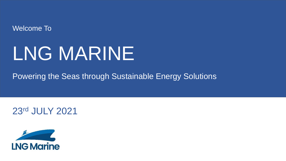Welcome To

# LNG MARINE

Powering the Seas through Sustainable Energy Solutions<sup>1</sup>



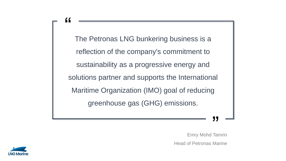The Petronas LNG bunkering business is a reflection of the company's commitment to sustainability as a progressive energy and solutions partner and supports the International Maritime Organization (IMO) goal of reducing greenhouse gas (GHG) emissions.

> Emry Mohd Tamrin Head of Petronas Marine



"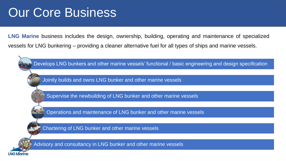### Our Core Business

**LNG Marine** business includes the design, ownership, building, operating and maintenance of specialized vessels for LNG bunkering – providing a cleaner alternative fuel for all types of ships and marine vessels.

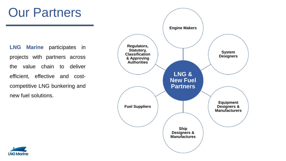### Our Partners

**LNG Marine** participates in projects with partners across the value chain to deliver efficient, effective and costcompetitive LNG bunkering and new fuel solutions.



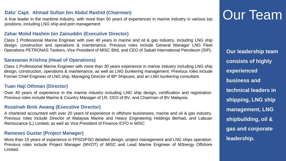#### **Dato' Capt. Ahmad Sufian bin Abdul Rashid (Chairman)**

A true leader in the maritime industry, with more than 50 years of experiences in marine industry in various top positions, including LNG ship and port management

#### **Zahar Mohd Hashim bin Zainuddin (Executive Director)**

Class 1 Professional Marine Engineer with over 40 years in marine and oil & gas industry, including LNG ship design, construction and operations & maintenance. Previous roles include General Manager LNG Fleet Operations PETRONAS Tankers, Vice President of MISC Bhd, and CEO of Sabah International Petroleum (SIP).

#### **Saravanan Krishna (Head of Operations)**

Class 1 Professional Marine Engineer with more than 30 years experience in marine industry including LNG ship design, construction, operations & maintenance, as well as LNG bunkering management. Previous roles include Former Chief Engineer of LNG ship, Managing Director of BP Shipcare, and an LNG bunkering consultant.

#### **Tuan Haji Othman (Director)**

Over 40 years of experience in the marine industry including LNG ship design, certification and registration. Previous roles include Marine & Country Manager of LR, CEO of BV, and Chairman of BV Malaysia.

#### **Rozainah Binti Awang (Executive Director)**

A chartered accountant with over 20 years of experience in offshore businesses, marine and oil & gas industry. Previous roles include Director of Malaysia Marine and Heavy Engineering Holdings Berhad, and Labuan Reinsurance (L) Limited, as well as Vice President of Finance /CFO in MISC

#### **Rameses Gustar (Project Manager)**

More than 15 years of experience in FPSO/FSO detailed design, project management and LNG ships operation. Previous roles include Project Manager (MVOT) of MISC and Lead Marine Engineer of M3nergy Offshore Limited.

### Our Team

**Our leadership team consists of highly experienced business and technical leaders in shipping, LNG ship management, LNG shipbuilding, oil & gas and corporate leadership.**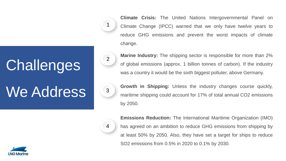# **Challenges**

1

2

3

4

# We Address

**Climate Crisis:** The United Nations Intergovernmental Panel on Climate Change (IPCC) warned that we only have twelve years to reduce GHG emissions and prevent the worst impacts of climate change.

**Marine Industry:** The shipping sector is responsible for more than 2% of global emissions (approx. 1 billion tonnes of carbon). If the industry was a country it would be the sixth biggest polluter, above Germany.

**Growth in Shipping:** Unless the industry changes course quickly, maritime shipping could account for 17% of total annual CO2 emissions by 2050.

**Emissions Reduction:** The International Maritime Organization (IMO) has agreed on an ambition to reduce GHG emissions from shipping by at least 50% by 2050. Also, they have set a target for ships to reduce SO2 emissions from 0.5% in 2020 to 0.1% by 2030.

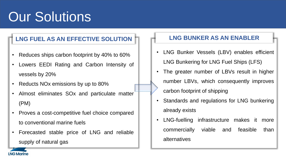# Our Solutions

### **LNG FUEL AS AN EFFECTIVE SOLUTION**

- Reduces ships carbon footprint by 40% to 60%
- Lowers EEDI Rating and Carbon Intensity of vessels by 20%
- Reducts NOx emissions by up to 80%
- Almost eliminates SOx and particulate matter (PM)
- Proves a cost-competitive fuel choice compared to conventional marine fuels
- Forecasted stable price of LNG and reliable supply of natural gas

#### **LNG BUNKER AS AN ENABLER**

- LNG Bunker Vessels (LBV) enables efficient LNG Bunkering for LNG Fuel Ships (LFS)
- The greater number of LBVs result in higher number LBVs, which consequently improves carbon footprint of shipping
- Standards and regulations for LNG bunkering already exists
- LNG-fuelling infrastructure makes it more commercially viable and feasible than alternatives

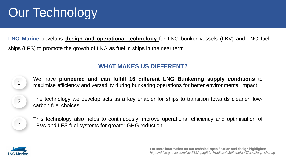### Our Technology

**LNG Marine** develops **design and operational technology** for LNG bunker vessels (LBV) and LNG fuel ships (LFS) to promote the growth of LNG as fuel in ships in the near term.

### **WHAT MAKES US DIFFERENT?**



We have **pioneered and can fulfill 16 different LNG Bunkering supply conditions** to maximise efficiency and versatility during bunkering operations for better environmental impact.

The technology we develop acts as a key enabler for ships to transition towards cleaner, lowcarbon fuel choices.



This technology also helps to continuously improve operational efficiency and optimisation of LBVs and LFS fuel systems for greater GHG reduction.

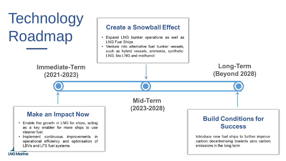